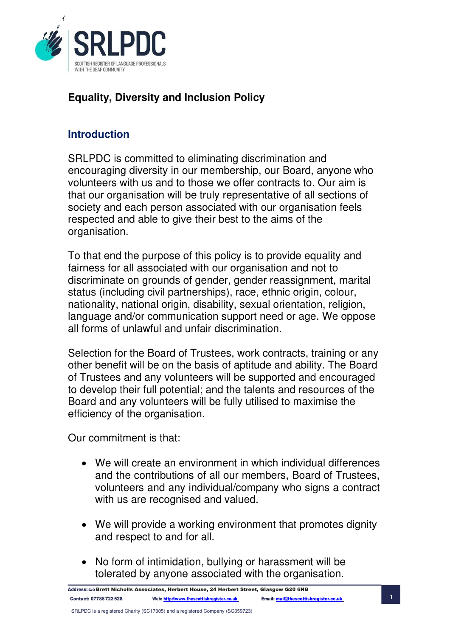

## **Equality, Diversity and Inclusion Policy**

## **Introduction**

SRLPDC is committed to eliminating discrimination and encouraging diversity in our membership, our Board, anyone who volunteers with us and to those we offer contracts to. Our aim is that our organisation will be truly representative of all sections of society and each person associated with our organisation feels respected and able to give their best to the aims of the organisation.

To that end the purpose of this policy is to provide equality and fairness for all associated with our organisation and not to discriminate on grounds of gender, gender reassignment, marital status (including civil partnerships), race, ethnic origin, colour, nationality, national origin, disability, sexual orientation, religion, language and/or communication support need or age. We oppose all forms of unlawful and unfair discrimination.

Selection for the Board of Trustees, work contracts, training or any other benefit will be on the basis of aptitude and ability. The Board of Trustees and any volunteers will be supported and encouraged to develop their full potential; and the talents and resources of the Board and any volunteers will be fully utilised to maximise the efficiency of the organisation.

Our commitment is that:

- We will create an environment in which individual differences and the contributions of all our members, Board of Trustees, volunteers and any individual/company who signs a contract with us are recognised and valued.
- We will provide a working environment that promotes dignity and respect to and for all.
- No form of intimidation, bullying or harassment will be tolerated by anyone associated with the organisation.